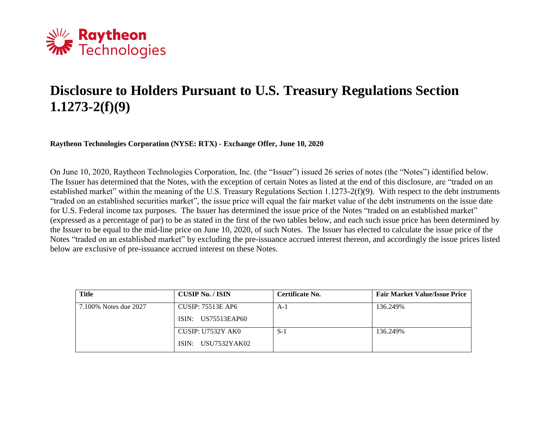

## **Disclosure to Holders Pursuant to U.S. Treasury Regulations Section 1.1273-2(f)(9)**

**Raytheon Technologies Corporation (NYSE: RTX) - Exchange Offer, June 10, 2020**

On June 10, 2020, Raytheon Technologies Corporation, Inc. (the "Issuer") issued 26 series of notes (the "Notes") identified below. The Issuer has determined that the Notes, with the exception of certain Notes as listed at the end of this disclosure, are "traded on an established market" within the meaning of the U.S. Treasury Regulations Section 1.1273-2(f)(9). With respect to the debt instruments "traded on an established securities market", the issue price will equal the fair market value of the debt instruments on the issue date for U.S. Federal income tax purposes. The Issuer has determined the issue price of the Notes "traded on an established market" (expressed as a percentage of par) to be as stated in the first of the two tables below, and each such issue price has been determined by the Issuer to be equal to the mid-line price on June 10, 2020, of such Notes. The Issuer has elected to calculate the issue price of the Notes "traded on an established market" by excluding the pre-issuance accrued interest thereon, and accordingly the issue prices listed below are exclusive of pre-issuance accrued interest on these Notes.

| <b>Title</b>          | <b>CUSIP No. / ISIN</b>  | Certificate No. | <b>Fair Market Value/Issue Price</b> |
|-----------------------|--------------------------|-----------------|--------------------------------------|
| 7.100% Notes due 2027 | <b>CUSIP: 75513E AP6</b> | A-1             | 136.249%                             |
|                       | ISIN: US75513EAP60       |                 |                                      |
|                       | CUSIP: U7532Y AK0        | $S-1$           | 136.249%                             |
|                       | ISIN: USU7532YAK02       |                 |                                      |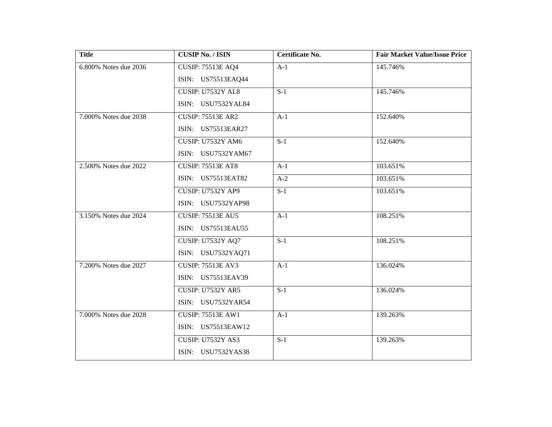| <b>Title</b>             | <b>CUSIP No. / ISIN</b>  | Certificate No.  | <b>Fair Market Value/Issue Price</b> |
|--------------------------|--------------------------|------------------|--------------------------------------|
| $6.800\%$ Notes due 2036 | <b>CUSIP: 75513E AQ4</b> | $A-1$            | 145.746%                             |
|                          | ISIN: US75513EAQ44       |                  |                                      |
|                          | <b>CUSIP: U7532Y AL8</b> | $S-1$            | 145.746%                             |
|                          | ISIN: USU7532YAL84       |                  |                                      |
| 7.000% Notes due 2038    | <b>CUSIP: 75513E AR2</b> | $A-1$            | 152.640%                             |
|                          | ISIN: US75513EAR27       |                  |                                      |
|                          | <b>CUSIP: U7532Y AM6</b> | $S-1$            | 152.640%                             |
|                          | ISIN: USU7532YAM67       |                  |                                      |
| 2.500% Notes due 2022    | <b>CUSIP: 75513E AT8</b> | $A-1$            | 103.651%                             |
|                          | ISIN: US75513EAT82       | $A-2$            | 103.651%                             |
|                          | <b>CUSIP: U7532Y AP9</b> | $S-1$            | 103.651%                             |
|                          | ISIN: USU7532YAP98       |                  |                                      |
| 3.150% Notes due 2024    | <b>CUSIP: 75513E AU5</b> | $A-1$            | 108.251%                             |
|                          | ISIN: US75513EAU55       |                  |                                      |
|                          | <b>CUSIP: U7532Y AQ7</b> | $\overline{S-1}$ | 108.251%                             |
|                          | ISIN: USU7532YAQ71       |                  |                                      |
| 7.200% Notes due 2027    | <b>CUSIP: 75513E AV3</b> | $A-1$            | 136.024%                             |
|                          | ISIN: US75513EAV39       |                  |                                      |
|                          | <b>CUSIP: U7532Y AR5</b> | $S-1$            | 136.024%                             |
|                          | ISIN: USU7532YAR54       |                  |                                      |
| 7.000% Notes due 2028    | <b>CUSIP: 75513E AW1</b> | $A-1$            | 139.263%                             |
|                          | ISIN: US75513EAW12       |                  |                                      |
|                          | <b>CUSIP: U7532Y AS3</b> | $S-1$            | 139.263%                             |
|                          | ISIN: USU7532YAS38       |                  |                                      |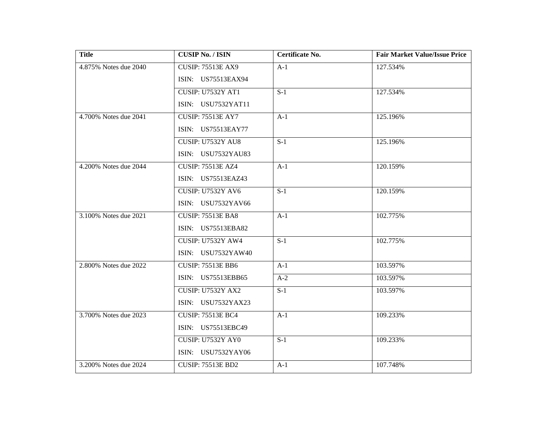| <b>Title</b>          | <b>CUSIP No. / ISIN</b>  | Certificate No. | <b>Fair Market Value/Issue Price</b> |
|-----------------------|--------------------------|-----------------|--------------------------------------|
| 4.875% Notes due 2040 | <b>CUSIP: 75513E AX9</b> | $A-1$           | 127.534%                             |
|                       | ISIN: US75513EAX94       |                 |                                      |
|                       | <b>CUSIP: U7532Y AT1</b> | $S-1$           | 127.534%                             |
|                       | ISIN: USU7532YAT11       |                 |                                      |
| 4.700% Notes due 2041 | <b>CUSIP: 75513E AY7</b> | $A-1$           | 125.196%                             |
|                       | ISIN: US75513EAY77       |                 |                                      |
|                       | <b>CUSIP: U7532Y AU8</b> | $S-1$           | 125.196%                             |
|                       | ISIN: USU7532YAU83       |                 |                                      |
| 4.200% Notes due 2044 | <b>CUSIP: 75513E AZ4</b> | $A-1$           | 120.159%                             |
|                       | ISIN: US75513EAZ43       |                 |                                      |
|                       | <b>CUSIP: U7532Y AV6</b> | $S-1$           | 120.159%                             |
|                       | ISIN: USU7532YAV66       |                 |                                      |
| 3.100% Notes due 2021 | <b>CUSIP: 75513E BA8</b> | $A-1$           | 102.775%                             |
|                       | ISIN: US75513EBA82       |                 |                                      |
|                       | <b>CUSIP: U7532Y AW4</b> | $S-1$           | 102.775%                             |
|                       | ISIN: USU7532YAW40       |                 |                                      |
| 2.800% Notes due 2022 | <b>CUSIP: 75513E BB6</b> | $A-1$           | 103.597%                             |
|                       | ISIN: US75513EBB65       | $A-2$           | 103.597%                             |
|                       | <b>CUSIP: U7532Y AX2</b> | $S-1$           | 103.597%                             |
|                       | ISIN: USU7532YAX23       |                 |                                      |
| 3.700% Notes due 2023 | <b>CUSIP: 75513E BC4</b> | $A-1$           | 109.233%                             |
|                       | ISIN: US75513EBC49       |                 |                                      |
|                       | <b>CUSIP: U7532Y AY0</b> | $S-1$           | 109.233%                             |
|                       | ISIN: USU7532YAY06       |                 |                                      |
| 3.200% Notes due 2024 | <b>CUSIP: 75513E BD2</b> | $A-1$           | 107.748%                             |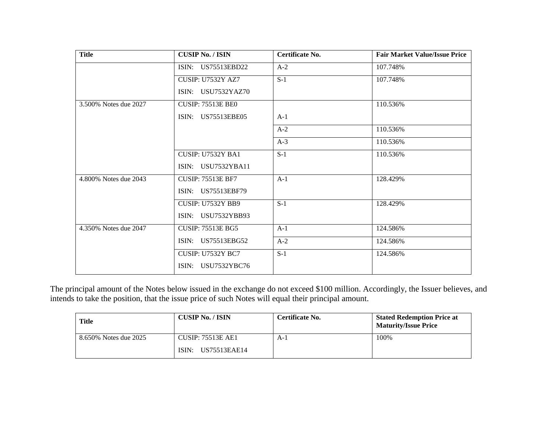| <b>Title</b>          | <b>CUSIP No. / ISIN</b>  | Certificate No. | <b>Fair Market Value/Issue Price</b> |
|-----------------------|--------------------------|-----------------|--------------------------------------|
|                       | ISIN: US75513EBD22       | $A-2$           | 107.748%                             |
|                       | <b>CUSIP: U7532Y AZ7</b> | $S-1$           | 107.748%                             |
|                       | ISIN: USU7532YAZ70       |                 |                                      |
| 3.500% Notes due 2027 | <b>CUSIP: 75513E BE0</b> |                 | 110.536%                             |
|                       | ISIN: US75513EBE05       | $A-1$           |                                      |
|                       |                          | $A-2$           | 110.536%                             |
|                       |                          | $A-3$           | 110.536%                             |
|                       | CUSIP: U7532Y BA1        | $S-1$           | 110.536%                             |
|                       | ISIN: USU7532YBA11       |                 |                                      |
| 4.800% Notes due 2043 | <b>CUSIP: 75513E BF7</b> | $A-1$           | 128.429%                             |
|                       | ISIN: US75513EBF79       |                 |                                      |
|                       | <b>CUSIP: U7532Y BB9</b> | $S-1$           | 128.429%                             |
|                       | ISIN: USU7532YBB93       |                 |                                      |
| 4.350% Notes due 2047 | <b>CUSIP: 75513E BG5</b> | $A-1$           | 124.586%                             |
|                       | ISIN: US75513EBG52       | $A-2$           | 124.586%                             |
|                       | <b>CUSIP: U7532Y BC7</b> | $S-1$           | 124.586%                             |
|                       | USU7532YBC76<br>ISIN:    |                 |                                      |

The principal amount of the Notes below issued in the exchange do not exceed \$100 million. Accordingly, the Issuer believes, and intends to take the position, that the issue price of such Notes will equal their principal amount.

| <b>Title</b>          | <b>CUSIP No. / ISIN</b>  | Certificate No. | <b>Stated Redemption Price at</b><br><b>Maturity/Issue Price</b> |
|-----------------------|--------------------------|-----------------|------------------------------------------------------------------|
| 8.650% Notes due 2025 | <b>CUSIP: 75513E AE1</b> | A-1             | 100%                                                             |
|                       | ISIN:<br>US75513EAE14    |                 |                                                                  |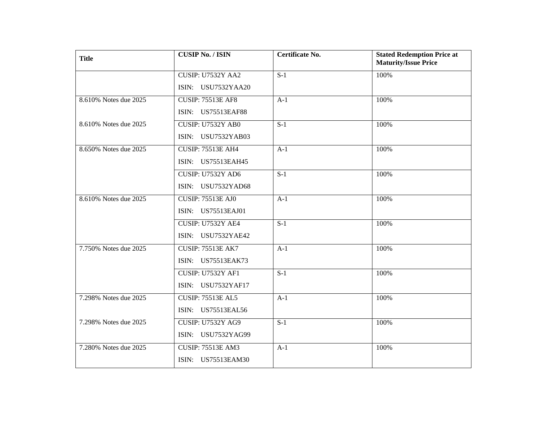| <b>Title</b>          | <b>CUSIP No. / ISIN</b>  | Certificate No.  | <b>Stated Redemption Price at</b><br><b>Maturity/Issue Price</b> |
|-----------------------|--------------------------|------------------|------------------------------------------------------------------|
|                       | CUSIP: U7532Y AA2        | $S-1$            | 100%                                                             |
|                       | ISIN: USU7532YAA20       |                  |                                                                  |
| 8.610% Notes due 2025 | <b>CUSIP: 75513E AF8</b> | $A-1$            | 100%                                                             |
|                       | ISIN: US75513EAF88       |                  |                                                                  |
| 8.610% Notes due 2025 | CUSIP: U7532Y AB0        | $S-1$            | 100%                                                             |
|                       | ISIN: USU7532YAB03       |                  |                                                                  |
| 8.650% Notes due 2025 | <b>CUSIP: 75513E AH4</b> | $A-1$            | 100%                                                             |
|                       | ISIN: US75513EAH45       |                  |                                                                  |
|                       | CUSIP: U7532Y AD6        | $S-1$            | 100%                                                             |
|                       | ISIN: USU7532YAD68       |                  |                                                                  |
| 8.610% Notes due 2025 | <b>CUSIP: 75513E AJ0</b> | $A-1$            | 100%                                                             |
|                       | ISIN: US75513EAJ01       |                  |                                                                  |
|                       | CUSIP: U7532Y AE4        | $\overline{S-1}$ | 100%                                                             |
|                       | ISIN: USU7532YAE42       |                  |                                                                  |
| 7.750% Notes due 2025 | <b>CUSIP: 75513E AK7</b> | $A-1$            | 100%                                                             |
|                       | ISIN: US75513EAK73       |                  |                                                                  |
|                       | <b>CUSIP: U7532Y AF1</b> | $S-1$            | 100%                                                             |
|                       | ISIN: USU7532YAF17       |                  |                                                                  |
| 7.298% Notes due 2025 | <b>CUSIP: 75513E AL5</b> | $A-1$            | 100%                                                             |
|                       | ISIN: US75513EAL56       |                  |                                                                  |
| 7.298% Notes due 2025 | <b>CUSIP: U7532Y AG9</b> | $S-1$            | 100%                                                             |
|                       | ISIN: USU7532YAG99       |                  |                                                                  |
| 7.280% Notes due 2025 | <b>CUSIP: 75513E AM3</b> | $A-1$            | 100%                                                             |
|                       | ISIN: US75513EAM30       |                  |                                                                  |